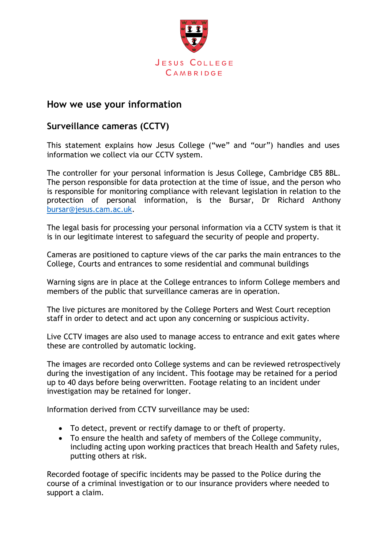

## **How we use your information**

## **Surveillance cameras (CCTV)**

This statement explains how Jesus College ("we" and "our") handles and uses information we collect via our CCTV system.

The controller for your personal information is Jesus College, Cambridge CB5 8BL. The person responsible for data protection at the time of issue, and the person who is responsible for monitoring compliance with relevant legislation in relation to the protection of personal information, is the Bursar, Dr Richard Anthony [bursar@jesus.cam.ac.uk.](mailto:bursar@jesus.cam.ac.uk)

The legal basis for processing your personal information via a CCTV system is that it is in our legitimate interest to safeguard the security of people and property.

Cameras are positioned to capture views of the car parks the main entrances to the College, Courts and entrances to some residential and communal buildings

Warning signs are in place at the College entrances to inform College members and members of the public that surveillance cameras are in operation.

The live pictures are monitored by the College Porters and West Court reception staff in order to detect and act upon any concerning or suspicious activity.

Live CCTV images are also used to manage access to entrance and exit gates where these are controlled by automatic locking.

The images are recorded onto College systems and can be reviewed retrospectively during the investigation of any incident. This footage may be retained for a period up to 40 days before being overwritten. Footage relating to an incident under investigation may be retained for longer.

Information derived from CCTV surveillance may be used:

- To detect, prevent or rectify damage to or theft of property.
- To ensure the health and safety of members of the College community, including acting upon working practices that breach Health and Safety rules, putting others at risk.

Recorded footage of specific incidents may be passed to the Police during the course of a criminal investigation or to our insurance providers where needed to support a claim.